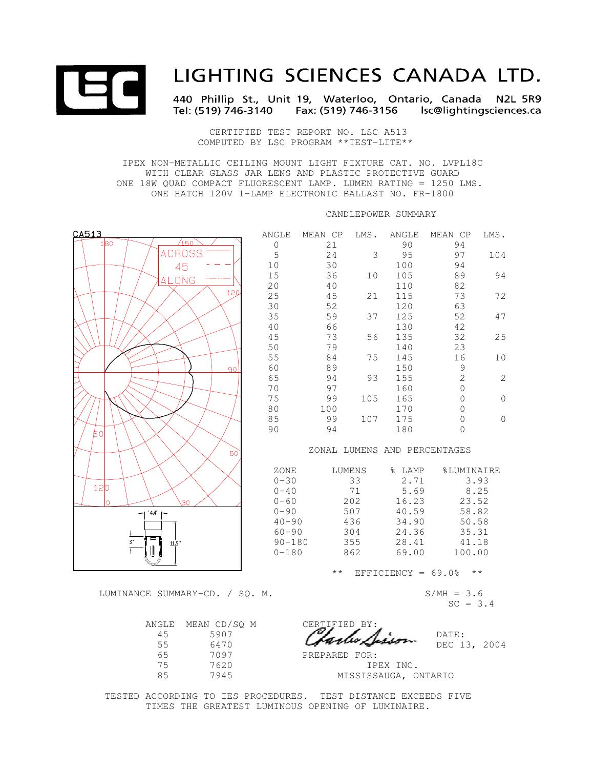

# LIGHTING SCIENCES CANADA LTD.

440 Phillip St., Unit 19, Waterloo, Ontario, Canada N2L 5R9 

 CERTIFIED TEST REPORT NO. LSC A513 COMPUTED BY LSC PROGRAM \*\*TEST-LITE\*\*

 IPEX NON-METALLIC CEILING MOUNT LIGHT FIXTURE CAT. NO. LVPL18C WITH CLEAR GLASS JAR LENS AND PLASTIC PROTECTIVE GUARD ONE 18W QUAD COMPACT FLUORESCENT LAMP. LUMEN RATING = 1250 LMS. ONE HATCH 120V 1-LAMP ELECTRONIC BALLAST NO. FR-1800

CANDLEPOWER SUMMARY

| CA513                  | ANGLE          | MEAN CP      | LMS.   | ANGLE                 | MEAN CP                      | LMS.            |  |
|------------------------|----------------|--------------|--------|-----------------------|------------------------------|-----------------|--|
| 1B <sub>0</sub><br>150 | $\overline{0}$ | 21           |        | 90                    | 94                           |                 |  |
| <b>ACROSS</b>          | 5              | 24           | 3      | 95                    | 97                           | 104             |  |
| 45                     | 10             | 30           |        | 100                   | 94                           |                 |  |
| ALONG                  | 15             | 36           | 10     | 105                   | 89                           | 94              |  |
|                        | 20             | 40           |        | 110                   | 82                           |                 |  |
| 120                    | 25             | 45           | 21     | 115                   | 73                           | 72              |  |
|                        | 30             | 52           |        | 120                   | 63                           |                 |  |
|                        | 35             | 59           | 37     | 125                   | 52                           | 47              |  |
|                        | 40             | 66           |        | 130                   | 42                           |                 |  |
|                        | 45             | 73           | 56     | 135                   | 32                           | 25              |  |
|                        | 50             | 79           |        | 140                   | 23                           |                 |  |
|                        | 55             | 84           | 75     | 145                   | 16                           | 10              |  |
| 90                     | 60             | 89           |        | 150                   | $\mathsf 9$                  |                 |  |
|                        | 65             | 94           | 93     | 155                   | $\overline{c}$               | $\overline{c}$  |  |
|                        | 70             | 97           |        | 160                   | $\mathbf 0$                  |                 |  |
|                        | 75             | 99           | 105    | 165                   | $\Omega$                     | $\mathbf 0$     |  |
|                        | 80             | 100          |        | 170                   | $\Omega$                     |                 |  |
|                        | 85<br>90       | 99<br>94     | 107    | 175<br>180            | $\mathbf 0$<br>$\mathbf 0$   | $\mathbf 0$     |  |
| 60l                    |                |              |        |                       |                              |                 |  |
|                        |                |              |        |                       | ZONAL LUMENS AND PERCENTAGES |                 |  |
| 60                     |                |              |        |                       |                              |                 |  |
|                        | ZONE           |              | LUMENS | % LAMP                | <b>%LUMINAIRE</b>            |                 |  |
|                        | $0 - 30$       |              | 33     | 2.71                  |                              | 3.93            |  |
| 120                    | $0 - 40$       |              | 71     | 5.69                  |                              | 8.25            |  |
| l٥<br>30               | $0 - 60$       |              | 202    | 16.23<br>23.52        |                              |                 |  |
| $44" \vdash$           | $0 - 90$       |              | 507    | 40.59                 |                              | 58.82           |  |
|                        | $40 - 90$      |              | 436    | 34.90                 |                              | 50.58           |  |
| ਥ                      | $60 - 90$      |              | 304    | 24.36                 |                              | 35.31           |  |
| $3$<br>11.5"           | $90 - 180$     |              | 355    |                       | 28.41<br>41.18               |                 |  |
|                        | $0 - 180$      |              | 862    | 69.00                 | 100.00                       |                 |  |
|                        |                | $\star\star$ |        | EFFICIENCY = $69.0$ % |                              | $\star$ $\star$ |  |

LUMINANCE SUMMARY-CD. / SQ. M. S/MH = 3.6

| CERTIFIED BY:<br>antes /h | MEAN CD/SO M<br>5907 | ANGLE<br>4.5 |
|---------------------------|----------------------|--------------|
|                           | 6470                 | 55           |
| PREPARED FOR:             | 7097                 | 65           |
| ΤF                        | 7620                 | 75           |
| MISSISS                   | 7945                 | 85           |
|                           |                      |              |

 $45$  5907  $\mathcal{P}_{\mathcal{A}}$ ,  $\mathcal{A}_{\mathcal{A}}$ , DATE:  $55$  6470  $\mu$  $\mu$  $\mu$  $\sigma$  $\mu$  $\sigma$  $\sigma$  $\sim$  DEC 13, 2004 PREPARED FOR:

IPEX INC. 85 7945 MISSISSAUGA, ONTARIO

 TESTED ACCORDING TO IES PROCEDURES. TEST DISTANCE EXCEEDS FIVE TIMES THE GREATEST LUMINOUS OPENING OF LUMINAIRE.

 $SC = 3.4$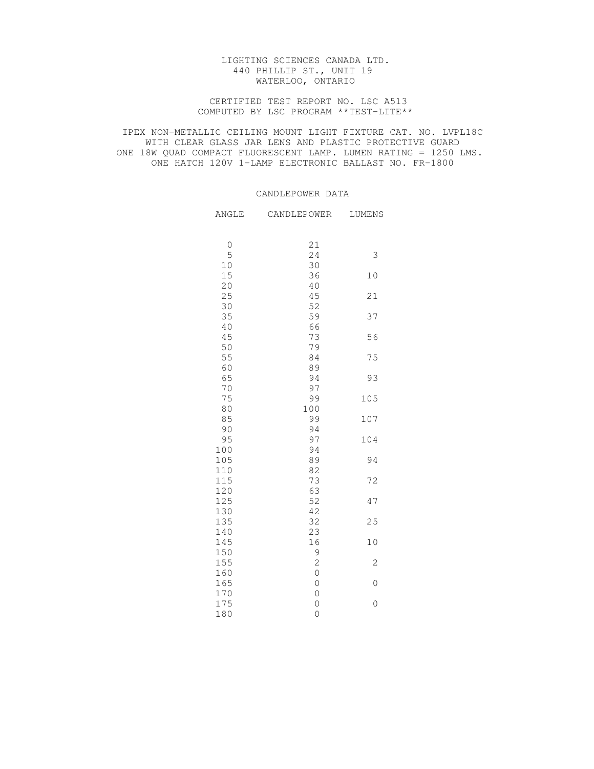## LIGHTING SCIENCES CANADA LTD. 440 PHILLIP ST., UNIT 19 WATERLOO, ONTARIO

## CERTIFIED TEST REPORT NO. LSC A513 COMPUTED BY LSC PROGRAM \*\*TEST-LITE\*\*

 IPEX NON-METALLIC CEILING MOUNT LIGHT FIXTURE CAT. NO. LVPL18C WITH CLEAR GLASS JAR LENS AND PLASTIC PROTECTIVE GUARD ONE 18W QUAD COMPACT FLUORESCENT LAMP. LUMEN RATING = 1250 LMS. ONE HATCH 120V 1-LAMP ELECTRONIC BALLAST NO. FR-1800

# CANDLEPOWER DATA

| ANGLE       | CANDLEPOWER    | LUMENS      |
|-------------|----------------|-------------|
|             |                |             |
| $\mathbb O$ | 21             |             |
| 5           | 24             | $\mathsf 3$ |
| 10          | 30             |             |
| 15          | 36             | 10          |
| 20          | 40             |             |
| 25          | 45             | 21          |
| 30          | 52             |             |
| 35          | 59             | 37          |
| 40          | 66             |             |
| 45          | 73             | 56          |
| 50          | 79             |             |
| 55          | 84             | 75          |
| 60          | 89             |             |
| 65          | 94             | 93          |
| 70          | 97             |             |
| 75          | 99             | 105         |
| 80          | 100            |             |
| 85          | 99             | 107         |
| 90          | 94             |             |
| 95          | 97             | 104         |
| 100         | 94             |             |
| 105         | 89             | 94          |
| 110         | 82             |             |
| 115         | 73             | 72          |
| 120         | 63             |             |
| 125         | 52             | 47          |
| 130         | 42             |             |
| 135         | 32             | 25          |
| 140         | 23             |             |
| 145         | 16             | $10$        |
| 150         | $\mathfrak g$  |             |
| 155         | $\overline{c}$ | $\sqrt{2}$  |
| 160         | $\overline{0}$ |             |
| 165         | $\mathbf 0$    | $\mathbf 0$ |
| 170         | $\mathbf 0$    |             |
| 175         | $\circ$        | $\mathbf 0$ |
| 180         | $\mathbf 0$    |             |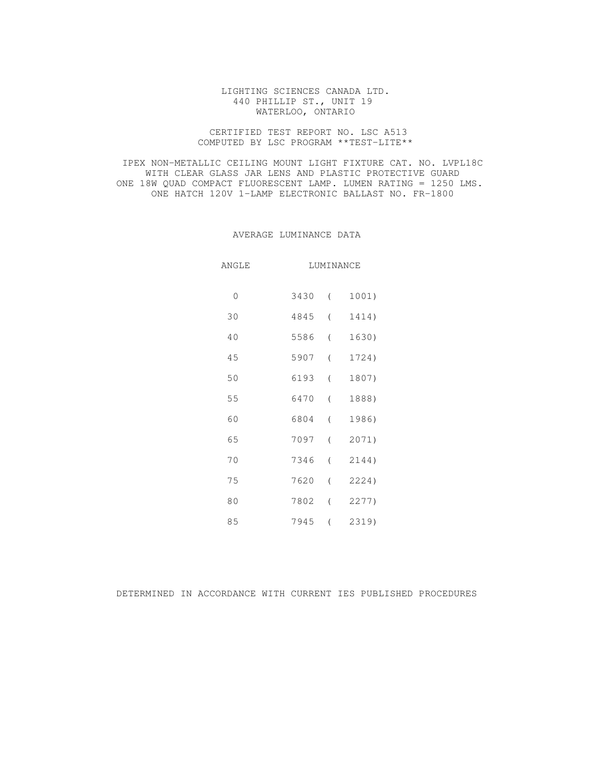## LIGHTING SCIENCES CANADA LTD. 440 PHILLIP ST., UNIT 19 WATERLOO, ONTARIO

## CERTIFIED TEST REPORT NO. LSC A513 COMPUTED BY LSC PROGRAM \*\*TEST-LITE\*\*

 IPEX NON-METALLIC CEILING MOUNT LIGHT FIXTURE CAT. NO. LVPL18C WITH CLEAR GLASS JAR LENS AND PLASTIC PROTECTIVE GUARD ONE 18W QUAD COMPACT FLUORESCENT LAMP. LUMEN RATING = 1250 LMS. ONE HATCH 120V 1-LAMP ELECTRONIC BALLAST NO. FR-1800

## AVERAGE LUMINANCE DATA

| ANGLE   |      | LUMINANCE        |       |  |  |
|---------|------|------------------|-------|--|--|
| $\circ$ | 3430 | $\sqrt{2}$       | 1001) |  |  |
| 30      | 4845 | $\overline{a}$   | 1414) |  |  |
| $40$    | 5586 | $\left($         | 1630) |  |  |
| 45      | 5907 | $\overline{(\ }$ | 1724) |  |  |
| 50      | 6193 | $\overline{(\ }$ | 1807) |  |  |
| 55      | 6470 | $\overline{ }$   | 1888) |  |  |
| 60      | 6804 | $\left($         | 1986) |  |  |
| 65      | 7097 | $\overline{(\ }$ | 2071) |  |  |
| 70      | 7346 | $\overline{(\ }$ | 2144) |  |  |
| 75      | 7620 | $\overline{(\ }$ | 2224) |  |  |
| $8\,0$  | 7802 | $\left($         | 2277) |  |  |
| 85      | 7945 | $\overline{ }$   | 2319) |  |  |

# DETERMINED IN ACCORDANCE WITH CURRENT IES PUBLISHED PROCEDURES